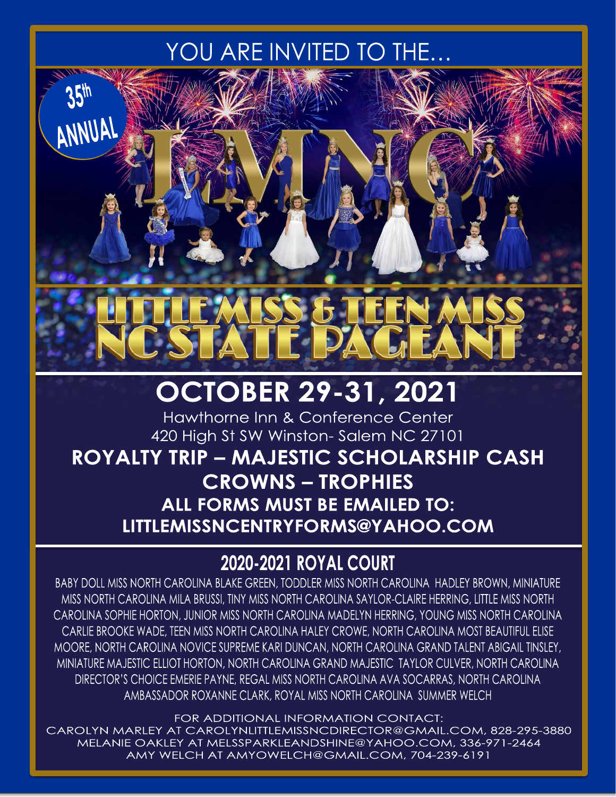# YOU ARE INVITED TO THE...

ANNUAL

# 1112

# **OCTOBER 29-31, 2021**

Hawthorne Inn & Conference Center 420 High St SW Winston-Salem NC 27101

**ROYALTY TRIP - MAJESTIC SCHOLARSHIP CASH CROWNS - TROPHIES** ALL FORMS MUST BE EMAILED TO: LITTLEMISSNCENTRYFORMS@YAHOO.COM

# **2020-2021 ROYAL COURT**

BABY DOLL MISS NORTH CAROLINA BLAKE GREEN, TODDLER MISS NORTH CAROLINA HADLEY BROWN, MINIATURE MISS NORTH CAROLINA MILA BRUSSI, TINY MISS NORTH CAROLINA SAYLOR-CLAIRE HERRING, LITTLE MISS NORTH CAROLINA SOPHIE HORTON, JUNIOR MISS NORTH CAROLINA MADELYN HERRING, YOUNG MISS NORTH CAROLINA CARLIE BROOKE WADE, TEEN MISS NORTH CAROLINA HALEY CROWE, NORTH CAROLINA MOST BEAUTIFUL ELISE MOORE, NORTH CAROLINA NOVICE SUPREME KARI DUNCAN, NORTH CAROLINA GRAND TALENT ABIGAIL TINSLEY, MINIATURE MAJESTIC ELLIOT HORTON, NORTH CAROLINA GRAND MAJESTIC TAYLOR CULVER, NORTH CAROLINA DIRECTOR'S CHOICE EMERIE PAYNE, REGAL MISS NORTH CAROLINA AVA SOCARRAS, NORTH CAROLINA AMBASSADOR ROXANNE CLARK, ROYAL MISS NORTH CAROLINA SUMMER WELCH

FOR ADDITIONAL INFORMATION CONTACT: CAROLYN MARLEY AT CAROLYNLITTLEMISSNCDIRECTOR@GMAIL.COM, 828-295-3880 MELANIE OAKLEY AT MELSSPARKLEANDSHINE@YAHOO.COM, 336-971-2464 AMY WELCH AT AMYOWELCH@GMAIL.COM, 704-239-6191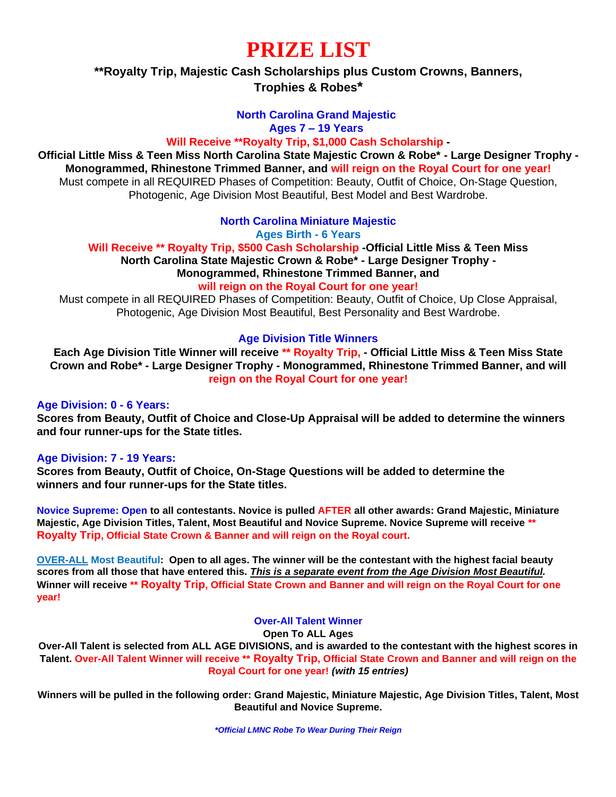# **PRIZE LIST**

## **\*\*Royalty Trip, Majestic Cash Scholarships plus Custom Crowns, Banners, Trophies & Robes\***

### **North Carolina Grand Majestic**

**Ages 7 – 19 Years**

#### **Will Receive \*\*Royalty Trip, \$1,000 Cash Scholarship -**

**Official Little Miss & Teen Miss North Carolina State Majestic Crown & Robe\* - Large Designer Trophy - Monogrammed, Rhinestone Trimmed Banner, and will reign on the Royal Court for one year!** Must compete in all REQUIRED Phases of Competition: Beauty, Outfit of Choice, On-Stage Question, Photogenic, Age Division Most Beautiful, Best Model and Best Wardrobe.

#### **North Carolina Miniature Majestic**

**Ages Birth - 6 Years**

**Will Receive \*\* Royalty Trip, \$500 Cash Scholarship -Official Little Miss & Teen Miss North Carolina State Majestic Crown & Robe\* - Large Designer Trophy - Monogrammed, Rhinestone Trimmed Banner, and** 

#### **will reign on the Royal Court for one year!**

Must compete in all REQUIRED Phases of Competition: Beauty, Outfit of Choice, Up Close Appraisal, Photogenic, Age Division Most Beautiful, Best Personality and Best Wardrobe.

#### **Age Division Title Winners**

**Each Age Division Title Winner will receive \*\* Royalty Trip, - Official Little Miss & Teen Miss State Crown and Robe\* - Large Designer Trophy - Monogrammed, Rhinestone Trimmed Banner, and will reign on the Royal Court for one year!**

#### **Age Division: 0 - 6 Years:**

**Scores from Beauty, Outfit of Choice and Close-Up Appraisal will be added to determine the winners and four runner-ups for the State titles.**

#### **Age Division: 7 - 19 Years:**

**Scores from Beauty, Outfit of Choice, On-Stage Questions will be added to determine the winners and four runner-ups for the State titles.**

**Novice Supreme: Open to all contestants. Novice is pulled AFTER all other awards: Grand Majestic, Miniature Majestic, Age Division Titles, Talent, Most Beautiful and Novice Supreme. Novice Supreme will receive \*\* Royalty Trip, Official State Crown & Banner and will reign on the Royal court.** 

**OVER-ALL Most Beautiful: Open to all ages. The winner will be the contestant with the highest facial beauty scores from all those that have entered this.** *This is a separate event from the Age Division Most Beautiful.* **Winner will receive \*\* Royalty Trip, Official State Crown and Banner and will reign on the Royal Court for one year!**

#### **Over-All Talent Winner**

**Open To ALL Ages** 

**Over-All Talent is selected from ALL AGE DIVISIONS, and is awarded to the contestant with the highest scores in Talent. Over-All Talent Winner will receive \*\* Royalty Trip, Official State Crown and Banner and will reign on the Royal Court for one year!** *(with 15 entries)*

**Winners will be pulled in the following order: Grand Majestic, Miniature Majestic, Age Division Titles, Talent, Most Beautiful and Novice Supreme.**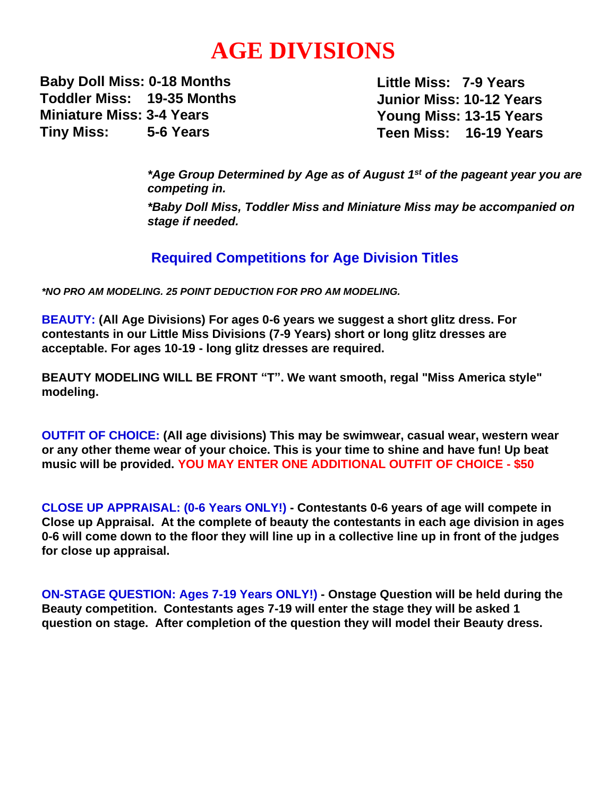# **AGE DIVISIONS**

**Baby Doll Miss: 0-18 Months Toddler Miss: 19-35 Months Miniature Miss: 3-4 Years Tiny Miss: 5-6 Years**

**Little Miss: 7-9 Years Junior Miss: 10-12 Years Young Miss: 13-15 Years Teen Miss: 16-19 Years**

*\*Age Group Determined by Age as of August 1st of the pageant year you are competing in.*

*\*Baby Doll Miss, Toddler Miss and Miniature Miss may be accompanied on stage if needed.* 

## **Required Competitions for Age Division Titles**

*\*NO PRO AM MODELING. 25 POINT DEDUCTION FOR PRO AM MODELING.*

**BEAUTY: (All Age Divisions) For ages 0-6 years we suggest a short glitz dress. For contestants in our Little Miss Divisions (7-9 Years) short or long glitz dresses are acceptable. For ages 10-19 - long glitz dresses are required.**

**BEAUTY MODELING WILL BE FRONT "T". We want smooth, regal "Miss America style" modeling.**

**OUTFIT OF CHOICE: (All age divisions) This may be swimwear, casual wear, western wear or any other theme wear of your choice. This is your time to shine and have fun! Up beat music will be provided. YOU MAY ENTER ONE ADDITIONAL OUTFIT OF CHOICE - \$50**

**CLOSE UP APPRAISAL: (0-6 Years ONLY!) - Contestants 0-6 years of age will compete in Close up Appraisal. At the complete of beauty the contestants in each age division in ages 0-6 will come down to the floor they will line up in a collective line up in front of the judges for close up appraisal.**

**ON-STAGE QUESTION: Ages 7-19 Years ONLY!) - Onstage Question will be held during the Beauty competition. Contestants ages 7-19 will enter the stage they will be asked 1 question on stage. After completion of the question they will model their Beauty dress.**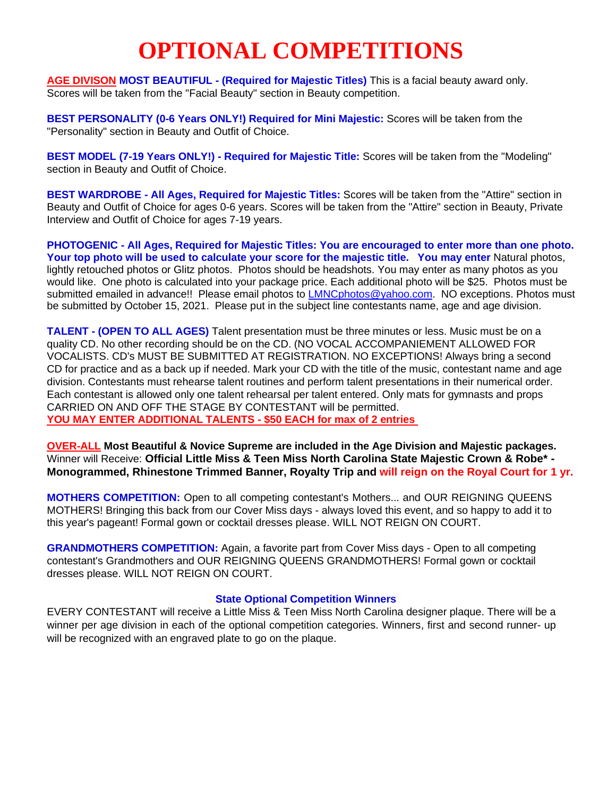# **OPTIONAL COMPETITIONS**

**AGE DIVISON MOST BEAUTIFUL - (Required for Majestic Titles)** This is a facial beauty award only. Scores will be taken from the "Facial Beauty" section in Beauty competition.

**BEST PERSONALITY (0-6 Years ONLY!) Required for Mini Majestic:** Scores will be taken from the "Personality" section in Beauty and Outfit of Choice.

**BEST MODEL (7-19 Years ONLY!) - Required for Majestic Title:** Scores will be taken from the "Modeling" section in Beauty and Outfit of Choice.

**BEST WARDROBE - All Ages, Required for Majestic Titles:** Scores will be taken from the "Attire" section in Beauty and Outfit of Choice for ages 0-6 years. Scores will be taken from the "Attire" section in Beauty, Private Interview and Outfit of Choice for ages 7-19 years.

**PHOTOGENIC - All Ages, Required for Majestic Titles: You are encouraged to enter more than one photo. Your top photo will be used to calculate your score for the majestic title. You may enter** Natural photos, lightly retouched photos or Glitz photos. Photos should be headshots. You may enter as many photos as you would like. One photo is calculated into your package price. Each additional photo will be \$25. Photos must be submitted emailed in advance!! Please email photos to **LMNCphotos@yahoo.com.** NO exceptions. Photos must be submitted by October 15, 2021. Please put in the subject line contestants name, age and age division.

**TALENT - (OPEN TO ALL AGES)** Talent presentation must be three minutes or less. Music must be on a quality CD. No other recording should be on the CD. (NO VOCAL ACCOMPANIEMENT ALLOWED FOR VOCALISTS. CD's MUST BE SUBMITTED AT REGISTRATION. NO EXCEPTIONS! Always bring a second CD for practice and as a back up if needed. Mark your CD with the title of the music, contestant name and age division. Contestants must rehearse talent routines and perform talent presentations in their numerical order. Each contestant is allowed only one talent rehearsal per talent entered. Only mats for gymnasts and props CARRIED ON AND OFF THE STAGE BY CONTESTANT will be permitted. **YOU MAY ENTER ADDITIONAL TALENTS - \$50 EACH for max of 2 entries**

**OVER-ALL Most Beautiful & Novice Supreme are included in the Age Division and Majestic packages.**  Winner will Receive: **Official Little Miss & Teen Miss North Carolina State Majestic Crown & Robe\* - Monogrammed, Rhinestone Trimmed Banner, Royalty Trip and will reign on the Royal Court for 1 yr.**

**MOTHERS COMPETITION:** Open to all competing contestant's Mothers... and OUR REIGNING QUEENS MOTHERS! Bringing this back from our Cover Miss days - always loved this event, and so happy to add it to this year's pageant! Formal gown or cocktail dresses please. WILL NOT REIGN ON COURT.

**GRANDMOTHERS COMPETITION:** Again, a favorite part from Cover Miss days - Open to all competing contestant's Grandmothers and OUR REIGNING QUEENS GRANDMOTHERS! Formal gown or cocktail dresses please. WILL NOT REIGN ON COURT.

#### **State Optional Competition Winners**

EVERY CONTESTANT will receive a Little Miss & Teen Miss North Carolina designer plaque. There will be a winner per age division in each of the optional competition categories. Winners, first and second runner- up will be recognized with an engraved plate to go on the plaque.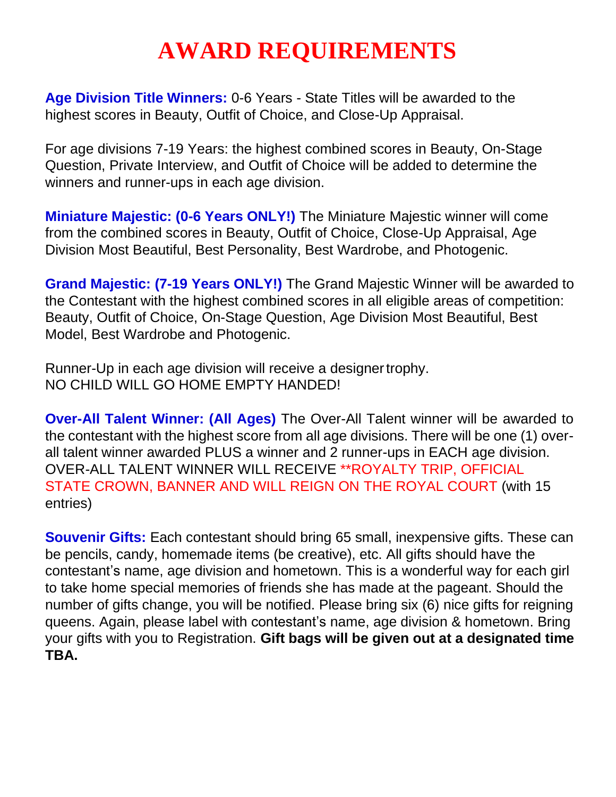# **AWARD REQUIREMENTS**

**Age Division Title Winners:** 0-6 Years - State Titles will be awarded to the highest scores in Beauty, Outfit of Choice, and Close-Up Appraisal.

For age divisions 7-19 Years: the highest combined scores in Beauty, On-Stage Question, Private Interview, and Outfit of Choice will be added to determine the winners and runner-ups in each age division.

**Miniature Majestic: (0-6 Years ONLY!)** The Miniature Majestic winner will come from the combined scores in Beauty, Outfit of Choice, Close-Up Appraisal, Age Division Most Beautiful, Best Personality, Best Wardrobe, and Photogenic.

**Grand Majestic: (7-19 Years ONLY!)** The Grand Majestic Winner will be awarded to the Contestant with the highest combined scores in all eligible areas of competition: Beauty, Outfit of Choice, On-Stage Question, Age Division Most Beautiful, Best Model, Best Wardrobe and Photogenic.

Runner-Up in each age division will receive a designertrophy. NO CHILD WILL GO HOME EMPTY HANDED!

**Over-All Talent Winner: (All Ages)** The Over-All Talent winner will be awarded to the contestant with the highest score from all age divisions. There will be one (1) overall talent winner awarded PLUS a winner and 2 runner-ups in EACH age division. OVER-ALL TALENT WINNER WILL RECEIVE \*\*ROYALTY TRIP, OFFICIAL STATE CROWN, BANNER AND WILL REIGN ON THE ROYAL COURT (with 15 entries)

**Souvenir Gifts:** Each contestant should bring 65 small, inexpensive gifts. These can be pencils, candy, homemade items (be creative), etc. All gifts should have the contestant's name, age division and hometown. This is a wonderful way for each girl to take home special memories of friends she has made at the pageant. Should the number of gifts change, you will be notified. Please bring six (6) nice gifts for reigning queens. Again, please label with contestant's name, age division & hometown. Bring your gifts with you to Registration. **Gift bags will be given out at a designated time TBA.**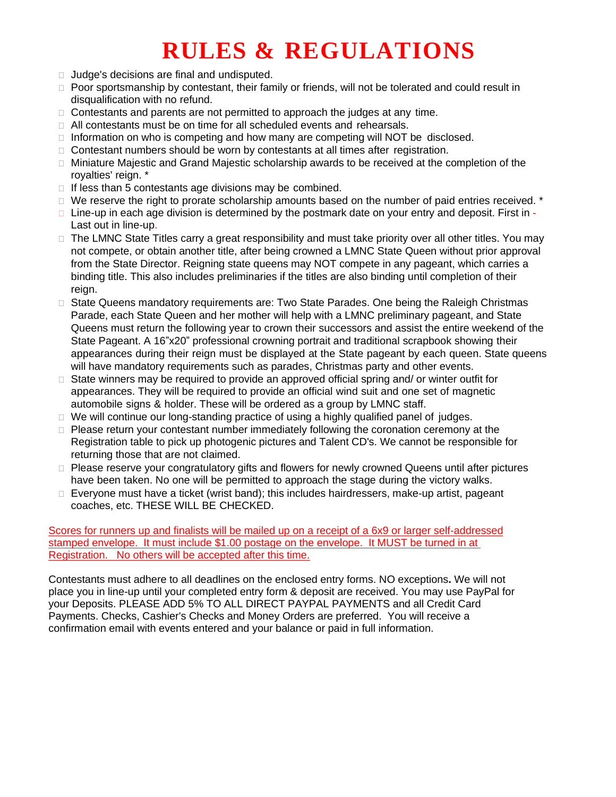# **RULES & REGULATIONS**

- $\Box$  Judge's decisions are final and undisputed.
- $\Box$  Poor sportsmanship by contestant, their family or friends, will not be tolerated and could result in disqualification with no refund.
- $\Box$  Contestants and parents are not permitted to approach the judges at any time.
- $\Box$  All contestants must be on time for all scheduled events and rehearsals.
- $\Box$  Information on who is competing and how many are competing will NOT be disclosed.
- $\Box$  Contestant numbers should be worn by contestants at all times after registration.
- $\Box$  Miniature Majestic and Grand Majestic scholarship awards to be received at the completion of the royalties' reign. \*
- $\Box$  If less than 5 contestants age divisions may be combined.
- $\Box$  We reserve the right to prorate scholarship amounts based on the number of paid entries received.  $*$
- $\Box$  Line-up in each age division is determined by the postmark date on your entry and deposit. First in -Last out in line-up.
- $\Box$  The LMNC State Titles carry a great responsibility and must take priority over all other titles. You may not compete, or obtain another title, after being crowned a LMNC State Queen without prior approval from the State Director. Reigning state queens may NOT compete in any pageant, which carries a binding title. This also includes preliminaries if the titles are also binding until completion of their reign.
- $\Box$  State Queens mandatory requirements are: Two State Parades. One being the Raleigh Christmas Parade, each State Queen and her mother will help with a LMNC preliminary pageant, and State Queens must return the following year to crown their successors and assist the entire weekend of the State Pageant. A 16"x20" professional crowning portrait and traditional scrapbook showing their appearances during their reign must be displayed at the State pageant by each queen. State queens will have mandatory requirements such as parades, Christmas party and other events.
- $\Box$  State winners may be required to provide an approved official spring and/ or winter outfit for appearances. They will be required to provide an official wind suit and one set of magnetic automobile signs & holder. These will be ordered as a group by LMNC staff.
- $\Box$  We will continue our long-standing practice of using a highly qualified panel of judges.
- $\Box$  Please return your contestant number immediately following the coronation ceremony at the Registration table to pick up photogenic pictures and Talent CD's. We cannot be responsible for returning those that are not claimed.
- $\Box$  Please reserve your congratulatory gifts and flowers for newly crowned Queens until after pictures have been taken. No one will be permitted to approach the stage during the victory walks.
- $\Box$  Everyone must have a ticket (wrist band); this includes hairdressers, make-up artist, pageant coaches, etc. THESE WILL BE CHECKED.

Scores for runners up and finalists will be mailed up on a receipt of a 6x9 or larger self-addressed stamped envelope. It must include \$1.00 postage on the envelope. It MUST be turned in at Registration. No others will be accepted after this time.

Contestants must adhere to all deadlines on the enclosed entry forms. NO exceptions**.** We will not place you in line-up until your completed entry form & deposit are received. You may use PayPal for your Deposits. PLEASE ADD 5% TO ALL DIRECT PAYPAL PAYMENTS and all Credit Card Payments. Checks, Cashier's Checks and Money Orders are preferred. You will receive a confirmation email with events entered and your balance or paid in full information.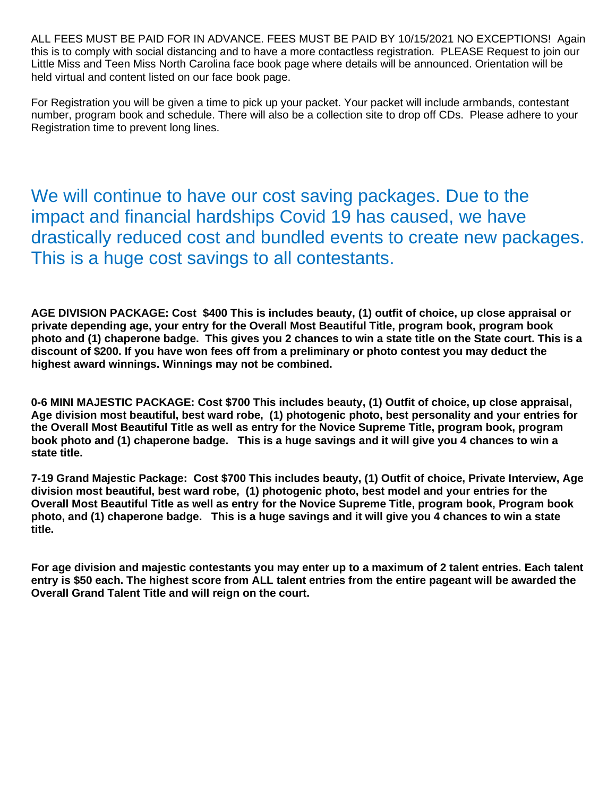ALL FEES MUST BE PAID FOR IN ADVANCE. FEES MUST BE PAID BY 10/15/2021 NO EXCEPTIONS! Again this is to comply with social distancing and to have a more contactless registration. PLEASE Request to join our Little Miss and Teen Miss North Carolina face book page where details will be announced. Orientation will be held virtual and content listed on our face book page.

For Registration you will be given a time to pick up your packet. Your packet will include armbands, contestant number, program book and schedule. There will also be a collection site to drop off CDs. Please adhere to your Registration time to prevent long lines.

We will continue to have our cost saving packages. Due to the impact and financial hardships Covid 19 has caused, we have drastically reduced cost and bundled events to create new packages. This is a huge cost savings to all contestants.

**AGE DIVISION PACKAGE: Cost \$400 This is includes beauty, (1) outfit of choice, up close appraisal or private depending age, your entry for the Overall Most Beautiful Title, program book, program book photo and (1) chaperone badge. This gives you 2 chances to win a state title on the State court. This is a discount of \$200. If you have won fees off from a preliminary or photo contest you may deduct the highest award winnings. Winnings may not be combined.** 

**0-6 MINI MAJESTIC PACKAGE: Cost \$700 This includes beauty, (1) Outfit of choice, up close appraisal, Age division most beautiful, best ward robe, (1) photogenic photo, best personality and your entries for the Overall Most Beautiful Title as well as entry for the Novice Supreme Title, program book, program book photo and (1) chaperone badge. This is a huge savings and it will give you 4 chances to win a state title.** 

**7-19 Grand Majestic Package: Cost \$700 This includes beauty, (1) Outfit of choice, Private Interview, Age division most beautiful, best ward robe, (1) photogenic photo, best model and your entries for the Overall Most Beautiful Title as well as entry for the Novice Supreme Title, program book, Program book photo, and (1) chaperone badge. This is a huge savings and it will give you 4 chances to win a state title.** 

**For age division and majestic contestants you may enter up to a maximum of 2 talent entries. Each talent entry is \$50 each. The highest score from ALL talent entries from the entire pageant will be awarded the Overall Grand Talent Title and will reign on the court.**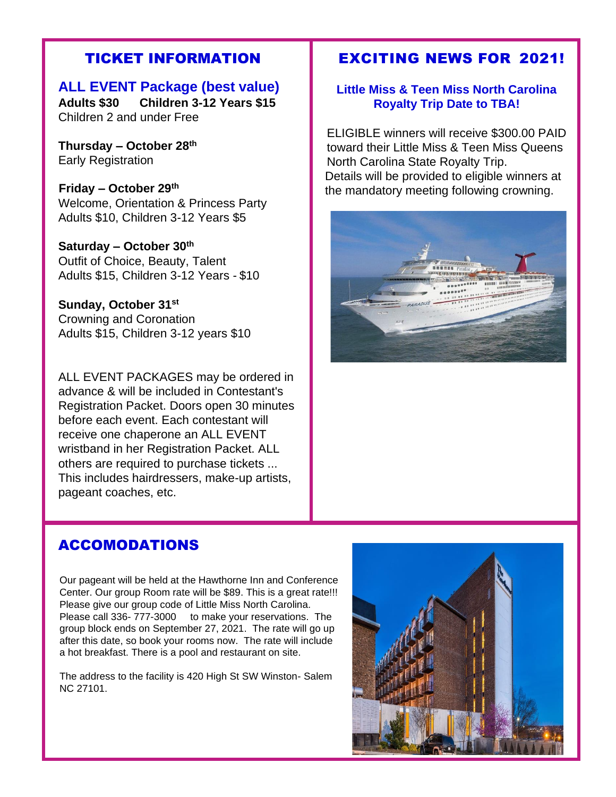## TICKET INFORMATION

**ALL EVENT Package (best value)** 

**Adults \$30 Children 3-12 Years \$15**  Children 2 and under Free

**Thursday – October 28th** Early Registration

 **Friday – October 29th** Welcome, Orientation & Princess Party Adults \$10, Children 3-12 Years \$5

**Saturday – October 30th** Outfit of Choice, Beauty, Talent Adults \$15, Children 3-12 Years - \$10

**Sunday, October 31st** Crowning and Coronation Adults \$15, Children 3-12 years \$10

ALL EVENT PACKAGES may be ordered in advance & will be included in Contestant's Registration Packet. Doors open 30 minutes before each event. Each contestant will receive one chaperone an ALL EVENT wristband in her Registration Packet. ALL others are required to purchase tickets ... This includes hairdressers, make-up artists, pageant coaches, etc.

## EXCITING NEWS FOR 2021!

## **Little Miss & Teen Miss North Carolina Royalty Trip Date to TBA!**

ELIGIBLE winners will receive \$300.00 PAID toward their Little Miss & Teen Miss Queens North Carolina State Royalty Trip. Details will be provided to eligible winners at the mandatory meeting following crowning.



## ACCOMODATIONS

Our pageant will be held at the Hawthorne Inn and Conference Center. Our group Room rate will be \$89. This is a great rate!!! Please give our group code of Little Miss North Carolina. Please call 336- 777-3000 to make your reservations. The group block ends on September 27, 2021. The rate will go up after this date, so book your rooms now. The rate will include a hot breakfast. There is a pool and restaurant on site.

The address to the facility is 420 High St SW Winston- Salem NC 27101.

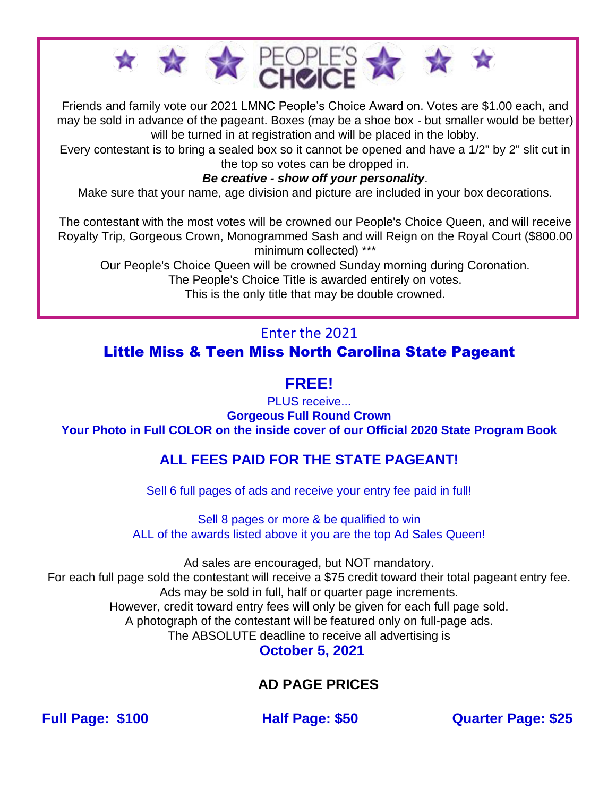

Friends and family vote our 2021 LMNC People's Choice Award on. Votes are \$1.00 each, and may be sold in advance of the pageant. Boxes (may be a shoe box - but smaller would be better) will be turned in at registration and will be placed in the lobby.

Every contestant is to bring a sealed box so it cannot be opened and have a 1/2" by 2" slit cut in the top so votes can be dropped in.

## *Be creative - show off your personality*.

Make sure that your name, age division and picture are included in your box decorations.

The contestant with the most votes will be crowned our People's Choice Queen, and will receive Royalty Trip, Gorgeous Crown, Monogrammed Sash and will Reign on the Royal Court (\$800.00 minimum collected) \*\*\*

Our People's Choice Queen will be crowned Sunday morning during Coronation.

The People's Choice Title is awarded entirely on votes.

This is the only title that may be double crowned.

# Enter the 2021

Little Miss & Teen Miss North Carolina State Pageant

# **FREE!**

PLUS receive... **Gorgeous Full Round Crown Your Photo in Full COLOR on the inside cover of our Official 2020 State Program Book**

# **ALL FEES PAID FOR THE STATE PAGEANT!**

Sell 6 full pages of ads and receive your entry fee paid in full!

Sell 8 pages or more & be qualified to win ALL of the awards listed above it you are the top Ad Sales Queen!

Ad sales are encouraged, but NOT mandatory. For each full page sold the contestant will receive a \$75 credit toward their total pageant entry fee. Ads may be sold in full, half or quarter page increments. However, credit toward entry fees will only be given for each full page sold. A photograph of the contestant will be featured only on full-page ads. The ABSOLUTE deadline to receive all advertising is **October 5, 2021**

# **AD PAGE PRICES**

**Full Page: \$100 Half Page: \$50 Quarter Page: \$25**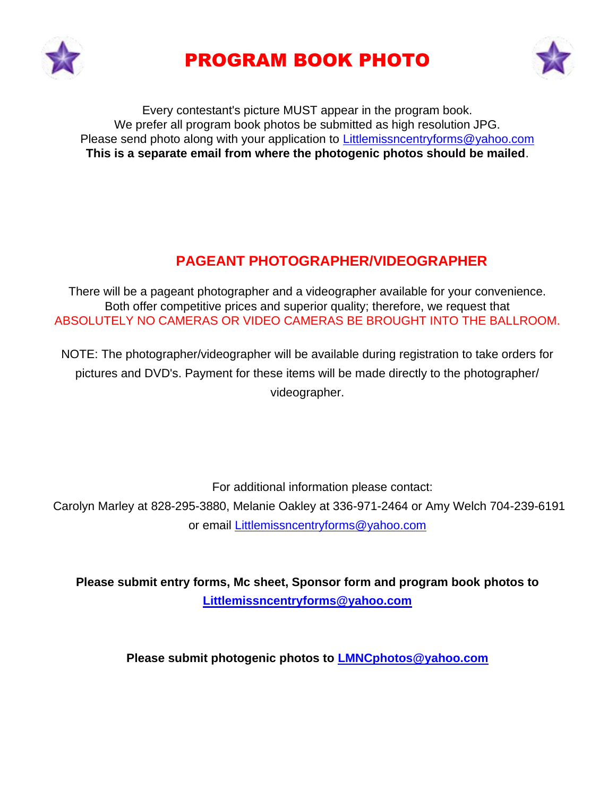

# PROGRAM BOOK PHOTO



Every contestant's picture MUST appear in the program book. We prefer all program book photos be submitted as high resolution JPG. Please send photo along with your application to Littlemissncentryforms@yahoo.com **This is a separate email from where the photogenic photos should be mailed**.

# **PAGEANT PHOTOGRAPHER/VIDEOGRAPHER**

There will be a pageant photographer and a videographer available for your convenience. Both offer competitive prices and superior quality; therefore, we request that ABSOLUTELY NO CAMERAS OR VIDEO CAMERAS BE BROUGHT INTO THE BALLROOM.

NOTE: The photographer/videographer will be available during registration to take orders for pictures and DVD's. Payment for these items will be made directly to the photographer/ videographer.

For additional information please contact:

Carolyn Marley at 828-295-3880, Melanie Oakley at 336-971-2464 or Amy Welch 704-239-6191 or email [Littlemissncentryforms@yahoo.com](mailto:Littlemissncentryforms@yahoo.com)

**Please submit entry forms, Mc sheet, Sponsor form and program book photos to [Littlemissncentryforms@yahoo.com](mailto:Littlemissncentryforms@yahoo.com)**

**Please submit photogenic photos to LMNCphotos@yahoo.com**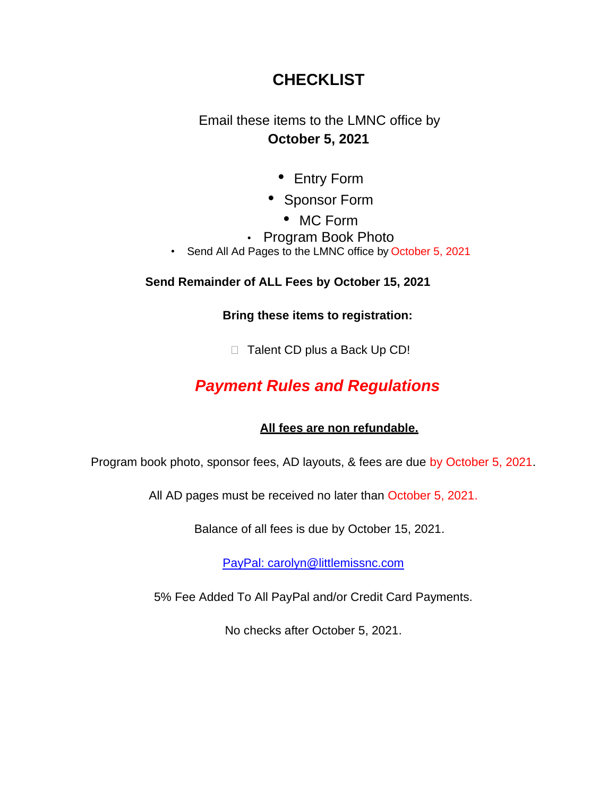# **CHECKLIST**

Email these items to the LMNC office by **October 5, 2021**

- Entry Form
- Sponsor Form
	- MC Form
- Program Book Photo
- Send All Ad Pages to the LMNC office by October 5, 2021

## **Send Remainder of ALL Fees by October 15, 2021**

**Bring these items to registration:**

□ Talent CD plus a Back Up CD!

# *Payment Rules and Regulations*

## **All fees are non refundable.**

Program book photo, sponsor fees, AD layouts, & fees are due by October 5, 2021.

All AD pages must be received no later than October 5, 2021.

Balance of all fees is due by October 15, 2021.

[PayPal: carolyn@littlemissnc.com](mailto:Paypal:%20carolyn@littlemissnc.com)

5% Fee Added To All PayPal and/or Credit Card Payments.

No checks after October 5, 2021.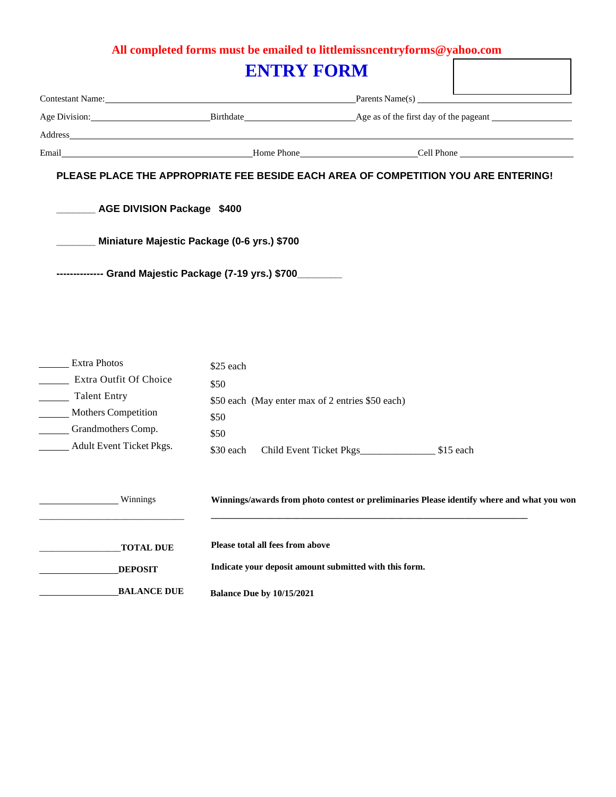# **All completed forms must be emailed to littlemissncentryforms@yahoo.com**

| <b>ENTRY FORM</b>                             |                                                                 |                                                                                                                                                                                                                          |  |  |
|-----------------------------------------------|-----------------------------------------------------------------|--------------------------------------------------------------------------------------------------------------------------------------------------------------------------------------------------------------------------|--|--|
|                                               |                                                                 | Contestant Name: Parents Name(s) Parents Name(s)                                                                                                                                                                         |  |  |
|                                               |                                                                 | Age Division: Birthdate Birthdate Age as of the first day of the pageant                                                                                                                                                 |  |  |
|                                               |                                                                 |                                                                                                                                                                                                                          |  |  |
|                                               |                                                                 | Email <b>Example 2018</b> Monet Line Phone Phone <b>Cell Phone</b> Cell Phone <b>Cell Phone Cell Phone Cell Phone Cell Phone Cell Phone Cell Phone Cell Phone Cell Phone Cell Phone Cell Phone Cell Phone Cell Phone</b> |  |  |
| AGE DIVISION Package \$400                    | Miniature Majestic Package (0-6 yrs.) \$700                     |                                                                                                                                                                                                                          |  |  |
|                                               | -------------- Grand Majestic Package (7-19 yrs.) \$700________ |                                                                                                                                                                                                                          |  |  |
| <b>Extra Photos</b><br>Extra Outfit Of Choice | \$25 each                                                       |                                                                                                                                                                                                                          |  |  |

| EXITA OULIII OI UNDICE     | \$50      |                                                  |            |
|----------------------------|-----------|--------------------------------------------------|------------|
| Talent Entry               |           | \$50 each (May enter max of 2 entries \$50 each) |            |
| <b>Mothers Competition</b> | \$50      |                                                  |            |
| Grandmothers Comp.         | \$50      |                                                  |            |
| Adult Event Ticket Pkgs.   | \$30 each | Child Event Ticket Pkgs                          | $$15$ each |
|                            |           |                                                  |            |

| Winnings           | Winnings/awards from photo contest or preliminaries Please identify where and what you won |
|--------------------|--------------------------------------------------------------------------------------------|
|                    |                                                                                            |
| <b>TOTAL DUE</b>   | Please total all fees from above                                                           |
| <b>DEPOSIT</b>     | Indicate your deposit amount submitted with this form.                                     |
| <b>BALANCE DUE</b> | Balance Due by 10/15/2021                                                                  |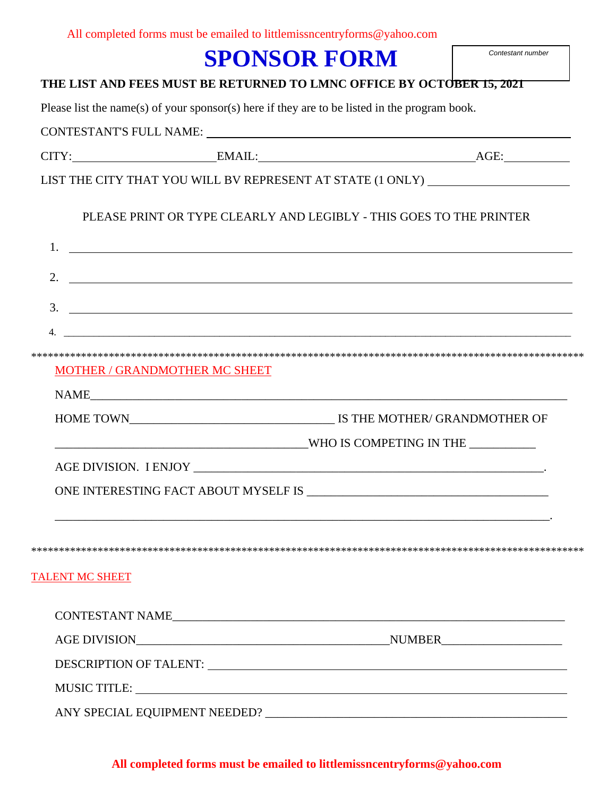| All completed forms must be emailed to littlemissncentryforms@yahoo.com |
|-------------------------------------------------------------------------|
|-------------------------------------------------------------------------|

# **SPONSOR FORM**

#### **THE LIST AND FEES MUST BE RETURNED TO LMNC OFFICE BY OCTOBER 15, 2021**

Please list the name(s) of your sponsor(s) here if they are to be listed in the program book.

CONTESTANT'S FULL NAME:

CITY: EMAIL: AGE:

LIST THE CITY THAT YOU WILL BV REPRESENT AT STATE (1 ONLY)

### PLEASE PRINT OR TYPE CLEARLY AND LEGIBLY - THIS GOES TO THE PRINTER

| 2.                            | <u> 1989 - Johann John Stein, fransk politik (d. 1989)</u>                                                            |
|-------------------------------|-----------------------------------------------------------------------------------------------------------------------|
| 3.                            | <u> 1989 - Andrea Barbara, amerikan basar dan berasal dan berasal dalam berasal dan berasal dalam berasal dalam b</u> |
| 4.                            |                                                                                                                       |
| MOTHER / GRANDMOTHER MC SHEET |                                                                                                                       |
|                               |                                                                                                                       |
|                               |                                                                                                                       |
|                               |                                                                                                                       |
|                               |                                                                                                                       |
|                               | ONE INTERESTING FACT ABOUT MYSELF IS USING THE INTERNATIONAL PROPERTY OF A SET OF A SET OF A SET OF A SET OF A        |
|                               |                                                                                                                       |
| <b>TALENT MC SHEET</b>        |                                                                                                                       |
|                               |                                                                                                                       |
|                               | AGE DIVISION NUMBER                                                                                                   |
|                               | DESCRIPTION OF TALENT: UNIVERSITY OF TALENT AND THE SERIES OF TALENT OF TALENT OF TALENT OF TALENT OF TALENT O        |
|                               | MUSIC TITLE:                                                                                                          |
|                               |                                                                                                                       |